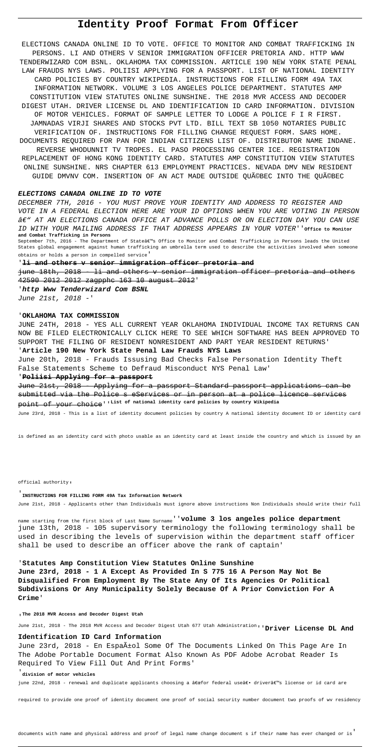# **Identity Proof Format From Officer**

ELECTIONS CANADA ONLINE ID TO VOTE. OFFICE TO MONITOR AND COMBAT TRAFFICKING IN PERSONS. LI AND OTHERS V SENIOR IMMIGRATION OFFICER PRETORIA AND. HTTP WWW TENDERWIZARD COM BSNL. OKLAHOMA TAX COMMISSION. ARTICLE 190 NEW YORK STATE PENAL LAW FRAUDS NYS LAWS. POLIISI APPLYING FOR A PASSPORT. LIST OF NATIONAL IDENTITY CARD POLICIES BY COUNTRY WIKIPEDIA. INSTRUCTIONS FOR FILLING FORM 49A TAX INFORMATION NETWORK. VOLUME 3 LOS ANGELES POLICE DEPARTMENT. STATUTES AMP CONSTITUTION VIEW STATUTES ONLINE SUNSHINE. THE 2018 MVR ACCESS AND DECODER DIGEST UTAH. DRIVER LICENSE DL AND IDENTIFICATION ID CARD INFORMATION. DIVISION OF MOTOR VEHICLES. FORMAT OF SAMPLE LETTER TO LODGE A POLICE F I R FIRST. JAMNADAS VIRJI SHARES AND STOCKS PVT LTD. BILL TEXT SB 1050 NOTARIES PUBLIC VERIFICATION OF. INSTRUCTIONS FOR FILLING CHANGE REQUEST FORM. SARS HOME. DOCUMENTS REQUIRED FOR PAN FOR INDIAN CITIZENS LIST OF. DISTRIBUTOR NAME INDANE. REVERSE WHODUNNIT TV TROPES. EL PASO PROCESSING CENTER ICE. REGISTRATION REPLACEMENT OF HONG KONG IDENTITY CARD. STATUTES AMP CONSTITUTION VIEW STATUTES ONLINE SUNSHINE. NRS CHAPTER 613 EMPLOYMENT PRACTICES. NEVADA DMV NEW RESIDENT GUIDE DMVNV COM. INSERTION OF AN ACT MADE OUTSIDE QUéBEC INTO THE QUéBEC

#### **ELECTIONS CANADA ONLINE ID TO VOTE**

DECEMBER 7TH, 2016 - YOU MUST PROVE YOUR IDENTITY AND ADDRESS TO REGISTER AND VOTE IN A FEDERAL ELECTION HERE ARE YOUR ID OPTIONS WHEN YOU ARE VOTING IN PERSON – AT AN ELECTIONS CANADA OFFICE AT ADVANCE POLLS OR ON ELECTION DAY YOU CAN USE ID WITH YOUR MAILING ADDRESS IF THAT ADDRESS APPEARS IN YOUR VOTER''**Office to Monitor and Combat Trafficking in Persons** September 7th, 2016 - The Department of Stateâ€<sup>w</sup>s Office to Monitor and Combat Trafficking in Persons leads the United States global engagement against human trafficking an umbrella term used to describe the activities involved when someone

obtains or holds a person in compelled service'

## '**li and others v senior immigration officer pretoria and**

june 18th, 2018 - li and others v senior immigration officer pretoria and others 42590 2012 2012 zagpphc 163 10 august 2012'

'**http Www Tenderwizard Com BSNL**

June 21st, 2018 -'

June 23rd, 2018 - En Español Some Of The Documents Linked On This Page Are In The Adobe Portable Document Format Also Known As PDF Adobe Acrobat Reader Is Required To View Fill Out And Print Forms'

### '**OKLAHOMA TAX COMMISSION**

JUNE 24TH, 2018 - YES ALL CURRENT YEAR OKLAHOMA INDIVIDUAL INCOME TAX RETURNS CAN NOW BE FILED ELECTRONICALLY CLICK HERE TO SEE WHICH SOFTWARE HAS BEEN APPROVED TO SUPPORT THE FILING OF RESIDENT NONRESIDENT AND PART YEAR RESIDENT RETURNS'

### '**Article 190 New York State Penal Law Frauds NYS Laws**

June 20th, 2018 - Frauds Issusing Bad Checks False Personation Identity Theft False Statements Scheme to Defraud Misconduct NYS Penal Law'

#### '**Poliisi Applying for a passport**

June 21st, 2018 - Applying for a passport Standard passport applications can be submitted via the Police s eServices or in person at a police licence services point of your choice''**List of national identity card policies by country Wikipedia**

June 23rd, 2018 - This is a list of identity document policies by country A national identity document ID or identity card

is defined as an identity card with photo usable as an identity card at least inside the country and which is issued by an

official authority'

# '**INSTRUCTIONS FOR FILLING FORM 49A Tax Information Network**

June 21st, 2018 - Applicants other than Individuals must ignore above instructions Non Individuals should write their full

name starting from the first block of Last Name Surname''**volume 3 los angeles police department** june 13th, 2018 - 105 supervisory terminology the following terminology shall be used in describing the levels of supervision within the department staff officer shall be used to describe an officer above the rank of captain'

## '**Statutes Amp Constitution View Statutes Online Sunshine June 23rd, 2018 - 1 A Except As Provided In S 775 16 A Person May Not Be**

**Disqualified From Employment By The State Any Of Its Agencies Or Political Subdivisions Or Any Municipality Solely Because Of A Prior Conviction For A Crime**'

'**The 2018 MVR Access and Decoder Digest Utah**

June 21st, 2018 - The 2018 MVR Access and Decoder Digest Utah 677 Utah Administration''**Driver License DL And**

### **Identification ID Card Information**

#### '**division of motor vehicles**

june 22nd, 2018 - renewal and duplicate applicants choosing a "for federal use― driver's license or id card are

required to provide one proof of identity document one proof of social security number document two proofs of wv residency

documents with name and physical address and proof of legal name change document s if their name has ever changed or is'